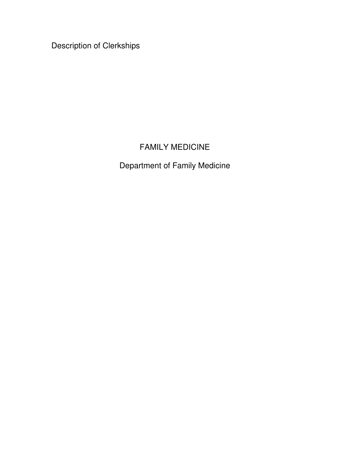Description of Clerkships

# FAMILY MEDICINE

Department of Family Medicine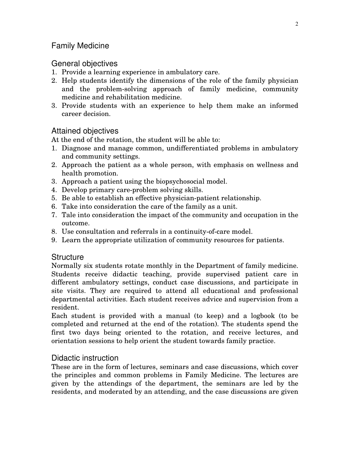# Family Medicine

# General objectives

- 1. Provide a learning experience in ambulatory care.
- 2. Help students identify the dimensions of the role of the family physician and the problem-solving approach of family medicine, community medicine and rehabilitation medicine.
- 3. Provide students with an experience to help them make an informed career decision.

# Attained objectives

At the end of the rotation, the student will be able to:

- 1. Diagnose and manage common, undifferentiated problems in ambulatory and community settings.
- 2. Approach the patient as a whole person, with emphasis on wellness and health promotion.
- 3. Approach a patient using the biopsychosocial model.
- 4. Develop primary care-problem solving skills.
- 5. Be able to establish an effective physician-patient relationship.
- 6. Take into consideration the care of the family as a unit.
- 7. Tale into consideration the impact of the community and occupation in the outcome.
- 8. Use consultation and referrals in a continuity-of-care model.
- 9. Learn the appropriate utilization of community resources for patients.

# **Structure**

Normally six students rotate monthly in the Department of family medicine. Students receive didactic teaching, provide supervised patient care in different ambulatory settings, conduct case discussions, and participate in site visits. They are required to attend all educational and professional departmental activities. Each student receives advice and supervision from a resident.

Each student is provided with a manual (to keep) and a logbook (to be completed and returned at the end of the rotation). The students spend the first two days being oriented to the rotation, and receive lectures, and orientation sessions to help orient the student towards family practice.

# Didactic instruction

These are in the form of lectures, seminars and case discussions, which cover the principles and common problems in Family Medicine. The lectures are given by the attendings of the department, the seminars are led by the residents, and moderated by an attending, and the case discussions are given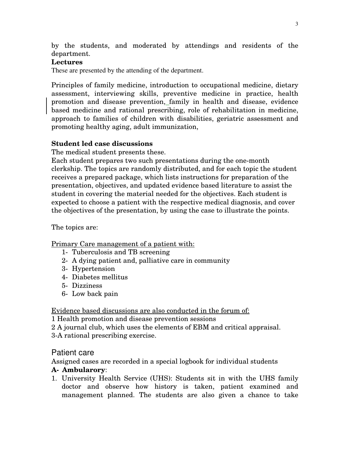by the students, and moderated by attendings and residents of the department.

### **Lectures**

These are presented by the attending of the department.

Principles of family medicine, introduction to occupational medicine, dietary assessment, interviewing skills, preventive medicine in practice, health promotion and disease prevention, family in health and disease, evidence based medicine and rational prescribing, role of rehabilitation in medicine, approach to families of children with disabilities, geriatric assessment and promoting healthy aging, adult immunization,

### **Student led case discussions**

The medical student presents these.

Each student prepares two such presentations during the one-month clerkship. The topics are randomly distributed, and for each topic the student receives a prepared package, which lists instructions for preparation of the presentation, objectives, and updated evidence based literature to assist the student in covering the material needed for the objectives. Each student is expected to choose a patient with the respective medical diagnosis, and cover the objectives of the presentation, by using the case to illustrate the points.

The topics are:

Primary Care management of a patient with:

- 1- Tuberculosis and TB screening
- 2- A dying patient and, palliative care in community
- 3- Hypertension
- 4- Diabetes mellitus
- 5- Dizziness
- 6- Low back pain

Evidence based discussions are also conducted in the forum of:

1 Health promotion and disease prevention sessions

- 2 A journal club, which uses the elements of EBM and critical appraisal.
- 3-A rational prescribing exercise.

## Patient care

Assigned cases are recorded in a special logbook for individual students

#### **A- Ambularory**:

1. University Health Service (UHS): Students sit in with the UHS family doctor and observe how history is taken, patient examined and management planned. The students are also given a chance to take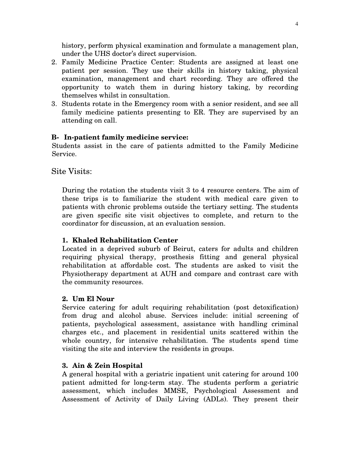history, perform physical examination and formulate a management plan, under the UHS doctor's direct supervision.

- 2. Family Medicine Practice Center: Students are assigned at least one patient per session. They use their skills in history taking, physical examination, management and chart recording. They are offered the opportunity to watch them in during history taking, by recording themselves whilst in consultation.
- 3. Students rotate in the Emergency room with a senior resident, and see all family medicine patients presenting to ER. They are supervised by an attending on call.

## **B- In-patient family medicine service:**

Students assist in the care of patients admitted to the Family Medicine Service.

## Site Visits:

During the rotation the students visit 3 to 4 resource centers. The aim of these trips is to familiarize the student with medical care given to patients with chronic problems outside the tertiary setting. The students are given specific site visit objectives to complete, and return to the coordinator for discussion, at an evaluation session.

#### **1. Khaled Rehabilitation Center**

Located in a deprived suburb of Beirut, caters for adults and children requiring physical therapy, prosthesis fitting and general physical rehabilitation at affordable cost. The students are asked to visit the Physiotherapy department at AUH and compare and contrast care with the community resources.

#### **2. Um El Nour**

Service catering for adult requiring rehabilitation (post detoxification) from drug and alcohol abuse. Services include: initial screening of patients, psychological assessment, assistance with handling criminal charges etc., and placement in residential units scattered within the whole country, for intensive rehabilitation. The students spend time visiting the site and interview the residents in groups.

#### **3. Ain & Zein Hospital**

A general hospital with a geriatric inpatient unit catering for around 100 patient admitted for long-term stay. The students perform a geriatric assessment, which includes MMSE, Psychological Assessment and Assessment of Activity of Daily Living (ADLs). They present their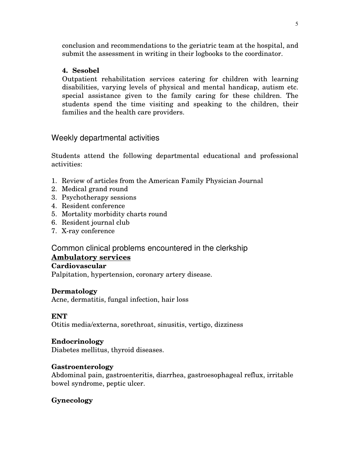conclusion and recommendations to the geriatric team at the hospital, and submit the assessment in writing in their logbooks to the coordinator.

## **4. Sesobel**

Outpatient rehabilitation services catering for children with learning disabilities, varying levels of physical and mental handicap, autism etc. special assistance given to the family caring for these children. The students spend the time visiting and speaking to the children, their families and the health care providers.

# Weekly departmental activities

Students attend the following departmental educational and professional activities:

- 1. Review of articles from the American Family Physician Journal
- 2. Medical grand round
- 3. Psychotherapy sessions
- 4. Resident conference
- 5. Mortality morbidity charts round
- 6. Resident journal club
- 7. X-ray conference

# Common clinical problems encountered in the clerkship

# **Ambulatory services**

## **Cardiovascular**

Palpitation, hypertension, coronary artery disease.

## **Dermatology**

Acne, dermatitis, fungal infection, hair loss

## **ENT**

Otitis media/externa, sorethroat, sinusitis, vertigo, dizziness

## **Endocrinology**

Diabetes mellitus, thyroid diseases.

# **Gastroenterology**

Abdominal pain, gastroenteritis, diarrhea, gastroesophageal reflux, irritable bowel syndrome, peptic ulcer.

# **Gynecology**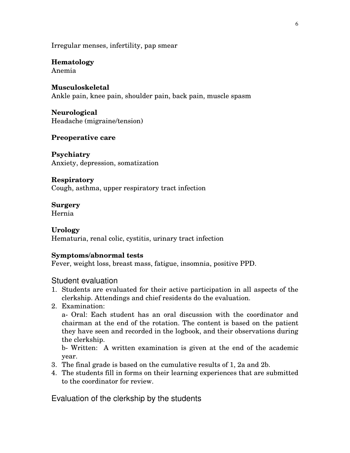Irregular menses, infertility, pap smear

## **Hematology**

Anemia

#### **Musculoskeletal**

Ankle pain, knee pain, shoulder pain, back pain, muscle spasm

#### **Neurological** Headache (migraine/tension)

### **Preoperative care**

**Psychiatry** Anxiety, depression, somatization

#### **Respiratory**

Cough, asthma, upper respiratory tract infection

### **Surgery**

Hernia

#### **Urology**

Hematuria, renal colic, cystitis, urinary tract infection

#### **Symptoms/abnormal tests**

Fever, weight loss, breast mass, fatigue, insomnia, positive PPD.

#### Student evaluation

- 1. Students are evaluated for their active participation in all aspects of the clerkship. Attendings and chief residents do the evaluation.
- 2. Examination:

a- Oral: Each student has an oral discussion with the coordinator and chairman at the end of the rotation. The content is based on the patient they have seen and recorded in the logbook, and their observations during the clerkship.

b- Written: A written examination is given at the end of the academic year.

- 3. The final grade is based on the cumulative results of 1, 2a and 2b.
- 4. The students fill in forms on their learning experiences that are submitted to the coordinator for review.

Evaluation of the clerkship by the students